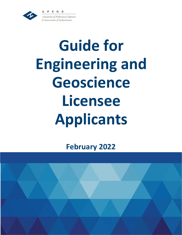EG



Association of Professional Engineers & Geoscientists of Saskatchewan

# **Guide for Engineering and Geoscience Licensee Applicants**

**February 2022**

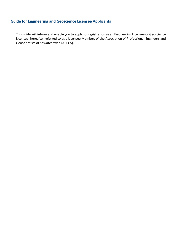# **Guide for Engineering and Geoscience Licensee Applicants**

This guide will inform and enable you to apply for registration as an Engineering Licensee or Geoscience Licensee, hereafter referred to as a Licensee Member, of the Association of Professional Engineers and Geoscientists of Saskatchewan (APEGS).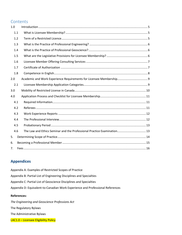# **Contents**

| 1.0 |                                                                         |  |
|-----|-------------------------------------------------------------------------|--|
| 1.1 |                                                                         |  |
| 1.2 |                                                                         |  |
| 1.3 |                                                                         |  |
| 1.4 |                                                                         |  |
| 1.5 |                                                                         |  |
| 1.6 |                                                                         |  |
| 1.7 |                                                                         |  |
| 1.8 |                                                                         |  |
| 2.0 | Academic and Work Experience Requirements for Licensee Membership 9     |  |
| 2.1 |                                                                         |  |
|     |                                                                         |  |
| 3.0 |                                                                         |  |
| 4.0 |                                                                         |  |
| 4.1 |                                                                         |  |
| 4.2 |                                                                         |  |
| 4.3 |                                                                         |  |
| 4.4 |                                                                         |  |
| 4.5 |                                                                         |  |
| 4.6 | The Law and Ethics Seminar and the Professional Practice Examination 13 |  |
| 5.  |                                                                         |  |
| 6.  |                                                                         |  |

# **Appendices**

Appendix A: Examples of Restricted Scopes of Practice Appendix B: Partial List of Engineering Disciplines and Specialties Appendix C: Partial List of Geoscience Disciplines and Specialties Appendix D: Equivalent-to-Canadian Work Experience and Professional References

### **References:**

*The Engineering and Geoscience Professions Act* The Regulatory Bylaws The Administrative Bylaws LAC1.0 - Licensee Eligibility Policy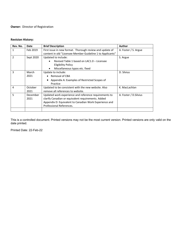## **Owner:** Director of Registration

### **Revision History:**

| Rev. No.       | Date             | <b>Brief Description</b>                                                                                                                                                                          | <b>Author</b>          |
|----------------|------------------|---------------------------------------------------------------------------------------------------------------------------------------------------------------------------------------------------|------------------------|
| 1              | Feb 2019         | First issue in new format. Thorough review and update of<br>content in old "Licensee Member Guideline 1 to Applicants"                                                                            | A. Foster / S. Argue   |
| $\mathfrak{p}$ | Sept 2020        | Updated to include:<br>Revised Table 1 based on LAC1.0 - Licensee<br>Eligibility Policy<br>Miscellaneous typos etc. fixed<br>$\bullet$                                                            | S. Argue               |
| 3              | March<br>2021    | Update to include:<br>Removal of CBA<br>$\bullet$<br>Appendix A: Examples of Restricted Scopes of<br>Practice                                                                                     | D. Silvius             |
| 4              | October<br>2021  | Updated to be consistent with the new website. Also<br>remove all references to website.                                                                                                          | K. MacLachlan          |
| 5              | December<br>2021 | Updated work experience and reference requirements to<br>clarify Canadian or equivalent requirements. Added<br>Appendix D: Equivalent to Canadian Work Experience and<br>Professional References. | A. Foster / D. Silvius |
|                |                  |                                                                                                                                                                                                   |                        |

This is a controlled document. Printed versions may not be the most current version. Printed versions are only valid on the date printed.

Printed Date: 22-Feb-22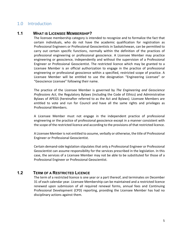# <span id="page-4-0"></span>1.0 Introduction

# <span id="page-4-1"></span>**1.1 WHAT IS LICENSEE MEMBERSHIP?**

The licensee membership category is intended to recognize and to formalize the fact that certain individuals, who do not have the academic qualification for registration as Professional Engineers or Professional Geoscientists in Saskatchewan, can be permitted to carry out certain specific functions, normally within the definition of the practices of professional engineering or professional geoscience. A Licensee Member may practice engineering or geoscience, independently and without the supervision of a Professional Engineer or Professional Geoscientist. The restricted licence which may be granted to a Licensee Member is an official authorization to engage in the practice of professional engineering or professional geoscience within a specified, restricted scope of practice. A Licensee Member will be entitled to use the designation "Engineering Licensee" or "Geoscience Licensee" following their name.

The practice of the Licensee Member is governed by *The Engineering and Geoscience Professions Act*, the Regulatory Bylaws (including the Code of Ethics) and Administrative Bylaws of APEGS (hereinafter referred to as the Act and Bylaws). Licensee Members are entitled to vote and run for Council and have all the same rights and privileges as Professional Members.

A Licensee Member must not engage in the independent practice of professional engineering or the practice of professional geoscience except in a manner consistent with the scope of the restricted licence and according to the provisions of that restricted licence.

A Licensee Member is not entitled to assume, verbally or otherwise, the title of Professional Engineer or Professional Geoscientist.

Certain demand-side legislation stipulates that only a Professional Engineer or Professional Geoscientist can assume responsibility for the services prescribed in the legislation. In this case, the services of a Licensee Member may not be able to be substituted for those of a Professional Engineer or Professional Geoscientist.

# <span id="page-4-2"></span>**1.2 TERM OF A RESTRICTED LICENCE**

The term of a restricted licence is one year or a part thereof, and terminates on December 31 of each calendar year. Licensee Membership can be maintained and a restricted licence renewed upon submission of all required renewal forms, annual fees and Continuing Professional Development (CPD) reporting, providing the Licensee Member has had no disciplinary actions against them.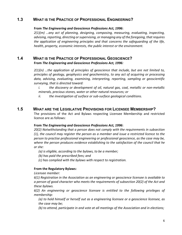# <span id="page-5-0"></span>**1.3 WHAT IS THE PRACTICE OF PROFESSIONAL ENGINEERING?**

### **From** *The Engineering and Geoscience Professions Act, 1996***:**

*2(1)(m) …any act of planning, designing, composing, measuring, evaluating, inspecting, advising, reporting, directing or supervising, or managing any of the foregoing, that requires the application of engineering principles and that concerns the safeguarding of the life, health, property, economic interests, the public interest or the environment.*

### <span id="page-5-1"></span>**1.4 WHAT IS THE PRACTICE OF PROFESSIONAL GEOSCIENCE? From** *The Engineering and Geoscience Professions Act, 1996:*

*2(1)(n) …the application of principles of geoscience that include, but are not limited to, principles of geology, geophysics and geochemistry, to any act of acquiring or processing data, advising, evaluating, examining, interpreting, reporting, sampling or geoscientific surveying, that is directed toward:*

*i. the discovery or development of oil, natural gas, coal, metallic or non-metallic minerals, precious stones, water or other natural resources; or*

*ii. the investigation of surface or sub-surface geological conditions.*

# <span id="page-5-2"></span>**1.5 WHAT ARE THE LEGISLATIVE PROVISIONS FOR LICENSEE MEMBERSHIP?**

The provisions of the Act and Bylaws respecting Licensee Membership and restricted licence are as follows:

### **From** *The Engineering and Geoscience Professions Act, 1996***:**

*20(2) Notwithstanding that a person does not comply with the requirements in subsection (1), the council may register the person as a member and issue a restricted licence to the person to practise professional engineering or professional geoscience, as the case may be, where the person produces evidence establishing to the satisfaction of the council that he or she:*

*(a) is eligible, according to the bylaws, to be a member;*

*(b) has paid the prescribed fees; and*

*(c) has complied with the bylaws with respect to registration.*

### **From the Regulatory Bylaws:**

*Licensee member:*

*6(1) Registration in the Association as an engineering or geoscience licensee is available to a person of good character who meets the requirements of subsection 20(2) of the Act and these bylaws.*

*6(2) An engineering or geoscience licensee is entitled to the following privileges of membership:*

*(a) to hold himself or herself out as a engineering licensee or a geoscience licensee, as the case may be;*

*(b) to attend, participate in and vote at all meetings of the Association and in elections;*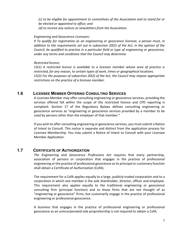*(c) to be eligible for appointment to committees of the Association and to stand for or be elected or appointed to office; and (d) to receive any notices or newsletters from the Association.*

### *Engineering and Geoscience Licensees:*

*9 To qualify for registration as an engineering or geoscience licensee, a person must, in addition to the requirements set out in subsection 20(2) of the Act, in the opinion of the Council, be qualified to practise in a particular field or type of engineering or geoscience, under any terms and conditions that the Council may determine.*

### *Restricted licence:*

*15(1) A restricted licence is available to a licensee member whose area of practice is restricted, for any reason, to certain types of work, times or geographical locations. 15(2) For the purposes of subsection 20(2) of the Act, the Council may impose appropriate restrictions on the practice of a licensee member.*

## <span id="page-6-0"></span>**1.6 LICENSEE MEMBER OFFERING CONSULTING SERVICES**

A Licensee Member may offer consulting engineering or geoscience services, providing the services offered fall within the scope of the restricted licence and CPD reporting is compliant. Section 17 of the Regulatory Bylaws defines consulting engineering or geoscience services as "engineering or geoscience services provided by a member to be used by persons other than the employer of that member."

If you wish to offer consulting engineering or geoscience services, you must submit a Notice of Intent to Consult. This notice is separate and distinct from the application process for Licensee Membership. You may submit a Notice of Intent to Consult with your Licensee Member Application.

# <span id="page-6-1"></span>**1.7 CERTIFICATE OF AUTHORIZATION**

*The Engineering and Geoscience Professions Act* requires that every partnership, association of persons or corporation that engages in the practice of professional engineering or the practice of professional geoscience as its principal or customary function shall obtain a Certificate of Authorization (CofA).

The requirement for a CofA applies equally to a large, publicly-traded corporation and to a corporation in which one member is the sole shareholder, director, officer and employee. This requirement also applies equally to the traditional engineering or geoscience consulting firm (principal function) and to those firms that are not thought of as "engineering or geoscience" firms, but customarily engage in the practice of professional engineering or professional geoscience.

A business that engages in the practice of professional engineering or professional geoscience as an unincorporated sole proprietorship is not required to obtain a CofA.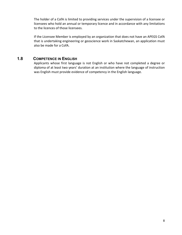The holder of a CofA is limited to providing services under the supervision of a licensee or licensees who hold an annual or temporary licence and in accordance with any limitations to the licences of those licensees.

If the Licensee Member is employed by an organization that does not have an APEGS CofA that is undertaking engineering or geoscience work in Saskatchewan, an application must also be made for a CofA.

# <span id="page-7-0"></span>**1.8 COMPETENCE IN ENGLISH**

Applicants whose first language is not English or who have not completed a degree or diploma of at least two years' duration at an institution where the language of instruction was English must provide evidence of competency in the English language.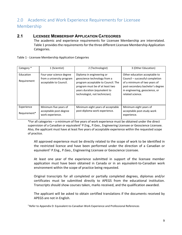# <span id="page-8-0"></span>2.0 Academic and Work Experience Requirements for Licensee Membership

### <span id="page-8-1"></span>**2.1 LICENSEE MEMBERSHIP APPLICATION CATEGORIES**

The academic and experience requirements for Licensee Membership are interrelated. Table 1 provides the requirements for the three different Licensee Membership Application Categories.

Table 1 - Licensee Membership Application Categories

| Category *                 | 1 (Scientist)                                                                   | 2 (Technologist)                                                                                                                                                                                      | 3 (Other Education)                                                                                                                                                                        |
|----------------------------|---------------------------------------------------------------------------------|-------------------------------------------------------------------------------------------------------------------------------------------------------------------------------------------------------|--------------------------------------------------------------------------------------------------------------------------------------------------------------------------------------------|
| Education<br>Requirement   | Four-year science degree<br>from a university program<br>acceptable to Council. | Diploma in engineering or<br>geoscience technology from a<br>program acceptable to Council. The<br>program must be of at least two<br>years duration (equivalent to<br>technologist, not technician). | Other education acceptable to<br>Council - successful completion<br>of a minimum of two years of<br>post-secondary bachelor's degree<br>in engineering, geoscience, or<br>related science. |
| Experience<br>Requirement* | Minimum five years of<br>acceptable post-degree<br>work experience.             | Minimum eight years of acceptable<br>post-diploma work experience.                                                                                                                                    | Minimum eight years of<br>acceptable post-study work<br>experience.                                                                                                                        |

\*For all categories – a minimum of five years of work experience must be obtained under the direct supervision of a Canadian or equivalent<sup>1</sup> P.Eng., P.Geo., Engineering Licensee or Geoscience Licensee. Also, the applicant must have at least five years of acceptable experience within the requested scope of practice.

All approved experience must be directly related to the scope of work to be identified in the restricted licence and have been performed under the direction of a Canadian or equivalent<sup>1</sup> P.Eng., P.Geo., Engineering Licensee or Geoscience Licensee.

At least one year of the experience submitted in support of the licensee member application must have been obtained in Canada or in an equivalent-to-Canadian work environment within the scope of practice being requested.

Original transcripts for all completed or partially completed degrees, diplomas and/or certificates must be submitted directly to APEGS from the educational institution. Transcripts should show courses taken, marks received, and the qualification awarded.

The applicant will be asked to obtain certified translations if the documents received by APEGS are not in English.

1 Refer to Appendix D: Equivalent-to-Canadian Work Experience and Professional References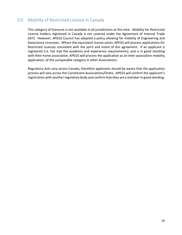# <span id="page-9-0"></span>3.0 Mobility of Restricted Licence in Canada

This category of licensure is not available in all jurisdictions at this time. Mobility for Restricted Licence holders registered in Canada is not covered under the Agreement of Internal Trade (AIT). However, APEGS Council has adopted a policy allowing for mobility of Engineering and Geoscience Licensees. Where the equivalent license exists, APEGS will process applications for Restricted Licences consistent with the spirit and intent of this agreement. If an applicant is registered (i.e. has met the academic and experience requirements), and is in good standing with their home association, APEGS will process the application as an inter-association mobility application, of the comparable category in other Associations.

<span id="page-9-1"></span>Regulatory Acts vary across Canada, therefore applicants should be aware that the application process will vary across the Constituent Associations/Ordre. APEGS will confirm the applicant's registration with another regulatory body and confirm that they are a member in good standing.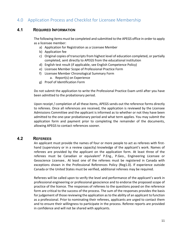# 4.0 Application Process and Checklist for Licensee Membership

# <span id="page-10-0"></span>**4.1 REQUIRED INFORMATION**

The following items must be completed and submitted to the APEGS office in order to apply as a licensee member:

- a) Application for Registration as a Licensee Member
- b) Application fee
- c) Original copies of transcripts from highest level of education completed, or partially completed, sent directly to APEGS from the educational institution
- d) English test result (if applicable, see English Competence Policy)
- e) Licensee Member Scope of Professional Practice Form
- f) Licensee Member Chronological Summary Form
	- a. Report(s) on Experience
- g) Proof of Identification Form

Do not submit the application to write the Professional Practice Exam until after you have been admitted to the probationary period.

Upon receipt / completion of all these items, APEGS sends out the reference forms directly to referees. Once all references are received, the application is reviewed by the Licensee Admissions Committee and the applicant is informed as to whether or not they have been admitted to the one-year probationary period and what term applies. You may submit the application form and payment prior to completing the remainder of the documents, allowing APEGS to contact references sooner.

### <span id="page-10-1"></span>**4.2 REFEREES**

An applicant must provide the names of four or more people to act as referees with firsthand (supervisory or in a review capacity) knowledge of the applicant's work. Names of referees are provided by the applicant on the application form. At least three of the referees must be Canadian or equivalent<sup>1</sup> P.Eng., P.Geo., Engineering Licensee or Geoscience Licensee.. At least one of the referees must be registered in Canada with exceptions shown in the Professional References Policy (Reg1.0). If experience outside Canada or the United States must be verified, additional referees may be required.

Referees will be called upon to verify the level and performance of the applicant's work in professional engineering or professional geoscience and to endorse the proposed scope of practice of the licence. The responses of referees to the questions posed on the reference form are critical to the success of the process. The sum of the responses provides the basis for judgement of those reviewing the application as to the ability of an applicant to function as a professional. Prior to nominating their referees, applicants are urged to contact them and to ensure their willingness to participate in the process. Referee reports are provided in confidence and will not be shared with applicants.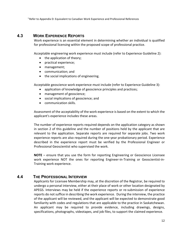1 Refer to Appendix D: Equivalent to Canadian Work Experience and Professional References

# <span id="page-11-0"></span>**4.3 WORK EXPERIENCE REPORTS**

Work experience is an essential element in determining whether an individual is qualified for professional licensing within the proposed scope of professional practice.

Acceptable engineering work experience must include (refer to Experience Guideline 2):

- the application of theory;
- practical experience;
- management;
- communication; and
- the social implications of engineering.

Acceptable geoscience work experience must include (refer to Experience Guideline 3):

- application of knowledge of geoscience principles and practices;
- management of geoscience;
- social implications of geoscience; and
- communication skills.

Assessment of the acceptability of the work experience is based on the extent to which the applicant's experience includes these areas.

The number of experience reports required depends on the application category as shown in section 2 of this guideline and the number of positions held by the applicant that are relevant to the application. Separate reports are required for separate jobs. Two work experience reports are also required during the one-year probationary period. Experience described in the experience report must be verified by the Professional Engineer or Professional Geoscientist who supervised the work.

**NOTE** – ensure that you use the form for reporting Engineering or Geoscience Licensee work experience NOT the ones for reporting Engineer-in-Training or Geoscientist-in-Training work experience.

### <span id="page-11-1"></span>**4.4 THE PROFESSIONAL INTERVIEW**

Applicants for Licensee Membership may, at the discretion of the Registrar, be required to undergo a personal interview, either at their place of work or other location designated by APEGS. Interviews may be held if the experience reports or re-submission of experience reports do not suffice in describing the work experience. During the interview, the practice of the applicant will be reviewed, and the applicant will be expected to demonstrate good familiarity with codes and regulations that are applicable to the practice in Saskatchewan. An applicant may be required to provide evidence, including drawings, designs, specifications, photographs, videotapes, and job files, to support the claimed experience.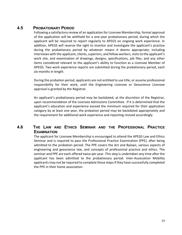# <span id="page-12-0"></span>**4.5 PROBATIONARY PERIOD**

Following a satisfactory review of an application for Licensee Membership, formal approval of the application will be withheld for a one-year probationary period, during which the applicant will be required to report regularly to APEGS on ongoing work experience. In addition, APEGS will reserve the right to monitor and investigate the applicant's practice during the probationary period by whatever means it deems appropriate, including interviews with the applicant, clients, superiors, and fellow workers, visits to the applicant's work site, and examination of drawings, designs, specifications, job files, and any other items considered relevant to the applicant's ability to function as a Licensee Member of APEGS. Two work experience reports are submitted during the probationary period, each six-months in length.

During the probation period, applicants are not entitled to use title, or assume professional responsibility for their work, until the Engineering Licensee or Geoscience Licensee approval is granted by the Registrar.

An applicant's probationary period may be backdated, at the discretion of the Registrar, upon recommendation of the Licensee Admissions Committee. If it is determined that the applicant's education and experience exceed the minimum required for their application category by at least one year, the probation period may be backdated appropriately and the requirement for additional work experience and reporting revised accordingly.

# <span id="page-12-1"></span>**4.6 THE LAW AND ETHICS SEMINAR AND THE PROFESSIONAL PRACTICE EXAMINATION**

<span id="page-12-2"></span>The applicant for Licensee Membership is encouraged to attend the APEGS Law and Ethics Seminar and is required to pass the Professional Practice Examination (PPE), after being admitted to the probation period. The PPE covers the Act and Bylaws, various aspects of engineering and geoscience law, and concepts of professional practice and ethics. The seminar and PPE are each offered twice per year. This step is undertaken any time after the applicant has been admitted to the probationary period. Inter-Association Mobility applicants may not be required to complete these steps if they have successfully completed the PPE in their home association.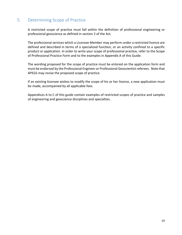# 5. Determining Scope of Practice

A restricted scope of practice must fall within the definition of professional engineering or professional geoscience as defined in section 2 of the Act.

The professional services which a Licensee Member may perform under a restricted licence are defined and described in terms of a specialized function, or an activity confined to a specific product or application. In order to write your scope of professional practice, refer to the Scope of Professional Practice Form and to the examples in Appendix A of this Guide.

The wording proposed for the scope of practice must be entered on the application form and must be endorsed by the Professional Engineer or Professional Geoscientist referees. Note that APEGS may revise the proposed scope of practice.

If an existing licensee wishes to modify the scope of his or her licence, a new application must be made, accompanied by all applicable fees.

<span id="page-13-0"></span>Appendices A to C of this guide contain examples of restricted scopes of practice and samples of engineering and geoscience disciplines and specialties.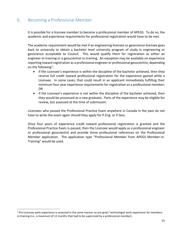# 6. Becoming a Professional Member

It is possible for a licensee member to become a professional member of APEGS. To do so, the academic and experience requirements for professional registration would have to be met.

The academic requirement would be met if an engineering licensee or geoscience licensee goes back to university to obtain a bachelor level university program of study in engineering or geoscience acceptable to Council. This would qualify them for registration as either an engineer-in-training or a geoscientist-in-training. An exception may be available on experience reporting toward registration as a professional engineer or professional geoscientist, depending on the following<sup>1</sup>:

- if the Licensee's experience is within the discipline of the bachelor achieved, then they receive full credit toward professional registration for the experience gained while a Licensee. In some cases, that could result in an applicant immediately fulfilling their minimum four year experience requirements for registration as a professional member; OR
- if the Licensee's experience is not within the discipline of the bachelor achieved, then they would be processed as a new graduate. Parts of the experience may be eligible for review, but assessed at the time of submission.

Licensees who passed the Professional Practice Exam anywhere in Canada in the past do not have to write the exam again should they apply for P.Eng. or P.Geo.

<span id="page-14-0"></span>Once four years of experience credit toward professional registration is granted and the Professional Practice Exam is passed, then the Licensee would apply as a professional engineer or professional geoscientist and provide three professional references on the Professional Member application. The application type "Professional Member from APEGS Member-in-Training" would be used.

<span id="page-14-1"></span> $1$  Pre-Licensee work experience is assessed in the same manner as pre-grad / technologist work experience for membersin-training (i.e., a maximum of 12 months that had to be supervised by a professional member).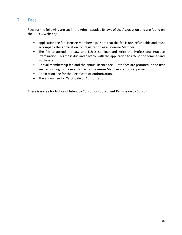# 7. Fees

Fees for the following are set in the Administrative Bylaws of the Association and are found on the APEGS website):

- application fee for Licensee Membership. Note that this fee is non-refundable and must accompany the Application for Registration as a Licensee Member.
- The fee to attend the Law and Ethics Seminar and write the Professional Practice Examination. This fee is due and payable with the application to attend the seminar and sit the exam.
- Annual membership fee and the annual licence fee. Both fees are prorated in the first year according to the month in which Licensee Member status is approved.
- Application Fee for the Certificate of Authorization.
- The annual fee for Certificate of Authorization.

There is no fee for Notice of Intent to Consult or subsequent Permission to Consult.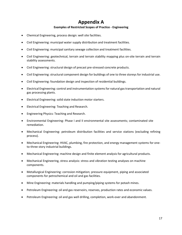# **Appendix A**

### **Examples of Restricted Scopes of Practice - Engineering**

- Chemical Engineering, process design: well site facilities.
- Civil Engineering: municipal water supply distribution and treatment facilities.
- Civil Engineering: municipal sanitary sewage collection and treatment facilities.
- Civil Engineering: geotechnical, terrain and terrain stability mapping plus on-site terrain and terrain stability assessments.
- Civil Engineering: structural design of precast pre-stressed concrete products.
- Civil Engineering: structural component design for buildings of one to three storeys for industrial use.
- Civil Engineering: foundation design and inspection of residential buildings.
- Electrical Engineering: control and instrumentation systems for natural gas transportation and natural gas processing plants.
- Electrical Engineering: solid state induction motor starters.
- Electrical Engineering: Teaching and Research.
- Engineering Physics: Teaching and Research.
- Environmental Engineering: Phase I and II environmental site assessments; contaminated site remediation.
- Mechanical Engineering: petroleum distribution facilities and service stations (excluding refining process).
- Mechanical Engineering: HVAC, plumbing, fire protection, and energy management systems for oneto-three story industrial buildings.
- Mechanical Engineering: machine design and finite element analysis for agricultural products.
- Mechanical Engineering, stress analysis: stress and vibration testing analyses on machine components.
- Metallurgical Engineering: corrosion mitigation; pressure equipment, piping and associated components for petrochemical and oil and gas facilities.
- Mine Engineering: materials handling and pumping/piping systems for potash mines.
- Petroleum Engineering: oil and gas reservoirs, reserves, production rates and economic values.
- Petroleum Engineering: oil and gas well drilling, completion, work-over and abandonment.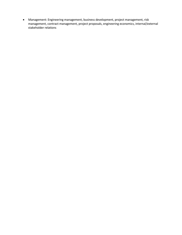• Management: Engineering management, business development, project management, risk management, contract management, project proposals, engineering economics, internal/external stakeholder relations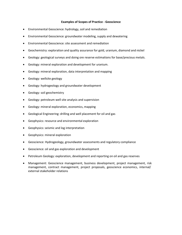#### **Examples of Scopes of Practice - Geoscience**

- Environmental Geoscience: hydrology, soil and remediation
- Environmental Geoscience: groundwater modeling, supply and dewatering
- Environmental Geoscience: site assessment and remediation
- Geochemistry: exploration and quality assurance for gold, uranium, diamond and nickel
- Geology: geological surveys and doing ore reserve estimations for base/precious metals.
- Geology: mineral exploration and development for uranium.
- Geology: mineral exploration, data interpretation and mapping
- Geology: wellsite geology
- Geology: hydrogeology and groundwater development
- Geology: soil geochemistry
- Geology: petroleum well site analysis and supervision
- Geology: mineral exploration, economics, mapping
- Geological Engineering: drilling and well placement for oil and gas
- Geophysics: resource and environmental exploration
- Geophysics: seismic and log interpretation
- Geophysics: mineral exploration
- Geoscience: Hydrogeology, groundwater assessments and regulatory compliance
- Geoscience: oil and gas exploration and development
- Petroleum Geology: exploration, development and reporting on oil and gas reserves
- Management: Geoscience management, business development, project management, risk management, contract management, project proposals, geoscience economics, internal/ external stakeholder relations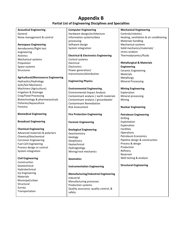# **Appendix B**

### **Partial List of Engineering Disciplines and Specialties**

### **Acoustical Engineering**

General Noise management & control

### **Aerospace Engineering**

Aerodynamic/flight test engineering Avionics Mechanical systems Propulsion Space systems **Structures** 

### **Agricultural/Bioresource Engineering**

Hydraulics/Hydrology Soils/Soil Mechanics Machinery (Agriculture) Irrigation & Drainage Crop/Food Processing Biotechnology & pharmaceuticals Fisheries/Aquaculture Forestry

#### **Biomedical Engineering**

### **Broadcast Engineering**

### **Chemical Engineering**

Advanced materials & polymers Chemical/biochemical Corrosion Engineering Fuel Cell Engineering Process design or control System integration

### **Civil Engineering**

**Construction** Geotechnical Hydrotechnical Ice Engineering Materials Municipal/urban **Structural** Survey Transportation

### **Computer Engineering**

Hardware design/architecture Information systems/data processing Software design System integration

#### **Electrical & Electronics Engineering**

Control systems Electrical **Electronics** Power generation/ transmission/distribution

### **Engineering Physics**

### **Environmental Engineering** Environmental Impact Analysis Contaminant analysis / earth materials Contaminant analysis / groundwater Contaminant Remediation Risk Assessment

### **Fire Protection Engineering**

### **Forensic Engineering**

### **Geological Engineering** Geochemistry Geology

**Geophysics** Geotechnical Hydrogeology Mining/rock mechanics

### **Geomatics**

### **Instrumentation Engineering**

### **Manufacturing/Industrial Engineering** Industrial Manufacturing processes Production systems Quality assurance, quality control, & safety

### **Mechanical Engineering**

Controls/robotics Heating, ventilation & air conditioning Materials handling Mechanical systems Solid mechanics/materials/ stress analysis Thermodynamics/fluids

### **Metallurgical & Materials**

**Engineering** Ceramic Engineering **Materials** Metallurgy Mineral Processing

### **Mining Engineering**

Exploration Mineral processing Mining

#### **Nuclear Engineering**

**Petroleum Engineering** Drilling Exploitation Exploration Facilities **Operations** Petroleum Economics Pipeline design & construction Process & design Production Refinery Reservoir Well testing & analysis

### **Structural Engineering**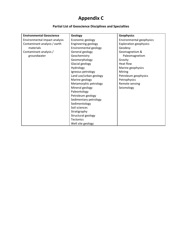# **Appendix C**

# **Partial List of Geoscience Disciplines and Specialties**

| <b>Environmental Geoscience</b> | Geology                | <b>Geophysics</b>             |
|---------------------------------|------------------------|-------------------------------|
| Environmental impact analysis   | Economic geology       | Environmental geophysics      |
| Contaminant analysis / earth    | Engineering geology    | <b>Exploration geophysics</b> |
| materials                       | Environmental geology  | Geodesy                       |
| Contaminant analysis /          | General geology        | Geomagnetism &                |
| groundwater                     | Geochemistry           | Paleomagnetism                |
|                                 | Geomorphology          | Gravity                       |
|                                 | Glacial geology        | Heat flow                     |
|                                 | Hydrology              | Marine geophysics             |
|                                 | Igneous petrology      | Mining                        |
|                                 | Land use/urban geology | Petroleum geophysics          |
|                                 | Marine geology         | Petrophysics                  |
|                                 | Metamorphic petrology  | Remote sensing                |
|                                 | Mineral geology        | Seismology                    |
|                                 | Paleontology           |                               |
|                                 | Petroleum geology      |                               |
|                                 | Sedimentary petrology  |                               |
|                                 | Sedimentology          |                               |
|                                 | Soil sciences          |                               |
|                                 | Stratigraphy           |                               |
|                                 | Structural geology     |                               |
|                                 | <b>Tectonics</b>       |                               |
|                                 | Well site geology      |                               |